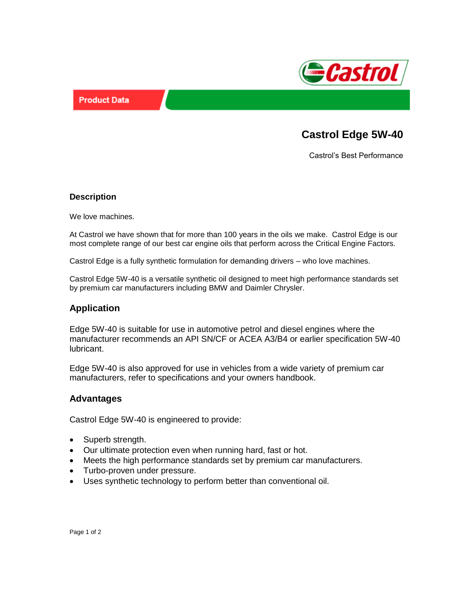



# **Castrol Edge 5W-40**

Castrol's Best Performance

#### **Description**

We love machines.

At Castrol we have shown that for more than 100 years in the oils we make. Castrol Edge is our most complete range of our best car engine oils that perform across the Critical Engine Factors.

Castrol Edge is a fully synthetic formulation for demanding drivers – who love machines.

Castrol Edge 5W-40 is a versatile synthetic oil designed to meet high performance standards set by premium car manufacturers including BMW and Daimler Chrysler.

# **Application**

Edge 5W-40 is suitable for use in automotive petrol and diesel engines where the manufacturer recommends an API SN/CF or ACEA A3/B4 or earlier specification 5W-40 lubricant.

Edge 5W-40 is also approved for use in vehicles from a wide variety of premium car manufacturers, refer to specifications and your owners handbook.

#### **Advantages**

Castrol Edge 5W-40 is engineered to provide:

- Superb strength.
- Our ultimate protection even when running hard, fast or hot.
- Meets the high performance standards set by premium car manufacturers.
- Turbo-proven under pressure.
- Uses synthetic technology to perform better than conventional oil.